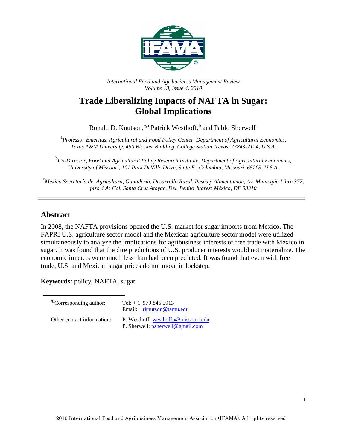

*International Food and Agribusiness Management Review Volume 13, Issue 4, 2010*

# **Trade Liberalizing Impacts of NAFTA in Sugar: Global Implications**

Ronald D. Knutson,<sup>®a</sup> Patrick Westhoff,<sup>b</sup> and Pablo Sherwell<sup>c</sup>

<sup>a</sup> Professor Emeritus, Agricultural and Food Policy Center, Department of Agricultural Economics, *Texas A&M University, 450 Blocker Building, College Station, Texas, 77843-2124, U.S.A.* 

<sup>b</sup><br>Co-Director, Food and Agricultural Policy Research Institute, Department of Agricultural Economics, *University of Missouri, 101 Park DeVille Drive, Suite E., Columbia, Missouri, 65203, U.S.A.* 

<sup>c</sup>*Mexico Secretaría de Agricultura, Ganadería, Desarrollo Rural, Pesca y Alimentacion, Av. Municipio Libre 377, piso 4 A: Col. Santa Cruz Atoyac, Del. Benito Juárez: México, DF 03310* 

### **Abstract**

In 2008, the NAFTA provisions opened the U.S. market for sugar imports from Mexico. The FAPRI U.S. agriculture sector model and the Mexican agriculture sector model were utilized simultaneously to analyze the implications for agribusiness interests of free trade with Mexico in sugar. It was found that the dire predictions of U.S. producer interests would not materialize. The economic impacts were much less than had been predicted. It was found that even with free trade, U.S. and Mexican sugar prices do not move in lockstep.

**Keywords:** policy, NAFTA, sugar

| <sup>The</sup> Corresponding author: | Tel: $+1$ 979.845.5913<br>Email: rknutson@tamu.edu                      |
|--------------------------------------|-------------------------------------------------------------------------|
| Other contact information:           | P. Westhoff: westhoffp@missouri.edu<br>P. Sherwell: psherwell@gmail.com |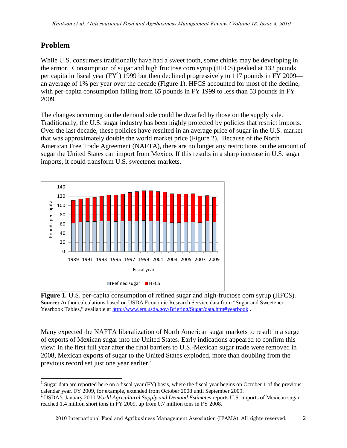## **Problem**

While U.S. consumers traditionally have had a sweet tooth, some chinks may be developing in the armor. Consumption of sugar and high fructose corn syrup (HFCS) peaked at 132 pounds per capita in fiscal year (FY<sup>1</sup>) 1999 but then declined progressively to 117 pounds in FY 2009 an average of 1% per year over the decade (Figure 1). HFCS accounted for most of the decline, with per-capita consumption falling from 65 pounds in FY 1999 to less than 53 pounds in FY 2009.

The changes occurring on the demand side could be dwarfed by those on the supply side. Traditionally, the U.S. sugar industry has been highly protected by policies that restrict imports. Over the last decade, these policies have resulted in an average price of sugar in the U.S. market that was approximately double the world market price (Figure 2). Because of the North American Free Trade Agreement (NAFTA), there are no longer any restrictions on the amount of sugar the United States can import from Mexico. If this results in a sharp increase in U.S. sugar imports, it could transform U.S. sweetener markets.



**Figure 1.** U.S. per-capita consumption of refined sugar and high-fructose corn syrup (HFCS). **Source:** Author calculations based on USDA Economic Research Service data from "Sugar and Sweetener Yearbook Tables," available at http://www.ers.usda.gov/Briefing/Sugar/data.htm#yearbook.

Many expected the NAFTA liberalization of North American sugar markets to result in a surge of exports of Mexican sugar into the United States. Early indications appeared to confirm this view: in the first full year after the final barriers to U.S.-Mexican sugar trade were removed in 2008, Mexican exports of sugar to the United States exploded, more than doubling from the previous record set just one year earlier.<sup>2</sup>

<sup>1</sup> <sup>1</sup> Sugar data are reported here on a fiscal year (FY) basis, where the fiscal year begins on October 1 of the previous

calendar year. FY 2009, for example, extended from October 2008 until September 2009. 2 USDA's January 2010 *World Agricultural Supply and Demand Estimates* reports U.S. imports of Mexican sugar reached 1.4 million short tons in FY 2009, up from 0.7 million tons in FY 2008.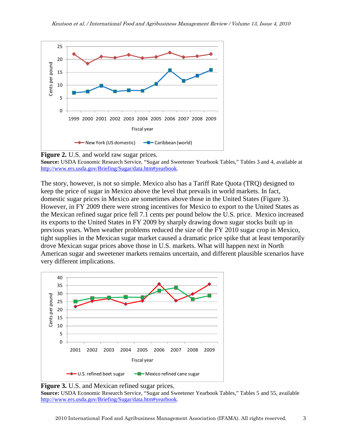



**Source:** USDA Economic Research Service, "Sugar and Sweetener Yearbook Tables," Tables 3 and 4, available at http://www.ers.usda.gov/Briefing/Sugar/data.htm#yearbook.

The story, however, is not so simple. Mexico also has a Tariff Rate Quota (TRQ) designed to keep the price of sugar in Mexico above the level that prevails in world markets. In fact, domestic sugar prices in Mexico are sometimes above those in the United States (Figure 3). However, in FY 2009 there were strong incentives for Mexico to export to the United States as the Mexican refined sugar price fell 7.1 cents per pound below the U.S. price. Mexico increased its exports to the United States in FY 2009 by sharply drawing down sugar stocks built up in previous years. When weather problems reduced the size of the FY 2010 sugar crop in Mexico, tight supplies in the Mexican sugar market caused a dramatic price spike that at least temporarily drove Mexican sugar prices above those in U.S. markets. What will happen next in North American sugar and sweetener markets remains uncertain, and different plausible scenarios have very different implications.



**Figure 3.** U.S. and Mexican refined sugar prices.

**Source:** USDA Economic Research Service, "Sugar and Sweetener Yearbook Tables," Tables 5 and 55, available http://www.ers.usda.gov/Briefing/Sugar/data.htm#yearbook.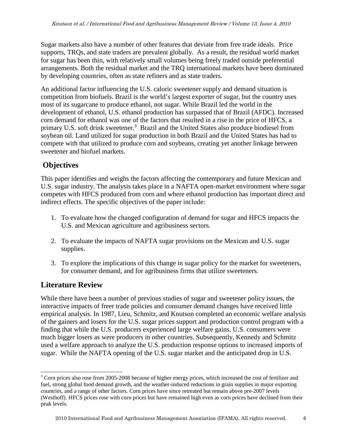Sugar markets also have a number of other features that deviate from free trade ideals. Price supports, TRQs, and state traders are prevalent globally. As a result, the residual world market for sugar has been thin, with relatively small volumes being freely traded outside preferential arrangements. Both the residual market and the TRQ international markets have been dominated by developing countries, often as state refiners and as state traders.

An additional factor influencing the U.S. caloric sweetener supply and demand situation is competition from biofuels. Brazil is the world's largest exporter of sugar, but the country uses most of its sugarcane to produce ethanol, not sugar. While Brazil led the world in the development of ethanol, U.S. ethanol production has surpassed that of Brazil (AFDC). Increased corn demand for ethanol was one of the factors that resulted in a rise in the price of HFCS, a primary U.S. soft drink sweetener.<sup>3</sup> Brazil and the United States also produce biodiesel from soybean oil. Land utilized for sugar production in both Brazil and the United States has had to compete with that utilized to produce corn and soybeans, creating yet another linkage between sweetener and biofuel markets.

## **Objectives**

This paper identifies and weighs the factors affecting the contemporary and future Mexican and U.S. sugar industry. The analysis takes place in a NAFTA open-market environment where sugar competes with HFCS produced from corn and where ethanol production has important direct and indirect effects. The specific objectives of the paper include:

- 1. To evaluate how the changed configuration of demand for sugar and HFCS impacts the U.S. and Mexican agriculture and agribusiness sectors.
- 2. To evaluate the impacts of NAFTA sugar provisions on the Mexican and U.S. sugar supplies.
- 3. To explore the implications of this change in sugar policy for the market for sweeteners, for consumer demand, and for agribusiness firms that utilize sweeteners.

## **Literature Review**

While there have been a number of previous studies of sugar and sweetener policy issues, the interactive impacts of freer trade policies and consumer demand changes have received little empirical analysis. In 1987, Lieu, Schmitz, and Knutson completed an economic welfare analysis of the gainers and losers for the U.S. sugar prices support and production control program with a finding that while the U.S. producers experienced large welfare gains, U.S. consumers were much bigger losers as were producers in other countries. Subsequently, Kennedy and Schmitz used a welfare approach to analyze the U.S. production response options to increased imports of sugar. While the NAFTA opening of the U.S. sugar market and the anticipated drop in U.S.

<sup>1</sup>  $3$  Corn prices also rose from 2005-2008 because of higher energy prices, which increased the cost of fertilizer and fuel, strong global food demand growth, and the weather-induced reductions in grain supplies in major exporting countries, and a range of other factors. Corn prices have since retreated but remain above pre-2007 levels (Westhoff). HFCS prices rose with corn prices but have remained high even as corn prices have declined from their peak levels.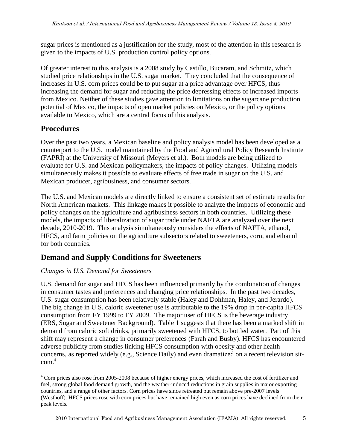sugar prices is mentioned as a justification for the study, most of the attention in this research is given to the impacts of U.S. production control policy options.

Of greater interest to this analysis is a 2008 study by Castillo, Bucaram, and Schmitz, which studied price relationships in the U.S. sugar market. They concluded that the consequence of increases in U.S. corn prices could be to put sugar at a price advantage over HFCS, thus increasing the demand for sugar and reducing the price depressing effects of increased imports from Mexico. Neither of these studies gave attention to limitations on the sugarcane production potential of Mexico, the impacts of open market policies on Mexico, or the policy options available to Mexico, which are a central focus of this analysis.

### **Procedures**

Over the past two years, a Mexican baseline and policy analysis model has been developed as a counterpart to the U.S. model maintained by the Food and Agricultural Policy Research Institute (FAPRI) at the University of Missouri (Meyers et al.). Both models are being utilized to evaluate for U.S. and Mexican policymakers, the impacts of policy changes. Utilizing models simultaneously makes it possible to evaluate effects of free trade in sugar on the U.S. and Mexican producer, agribusiness, and consumer sectors.

The U.S. and Mexican models are directly linked to ensure a consistent set of estimate results for North American markets. This linkage makes it possible to analyze the impacts of economic and policy changes on the agriculture and agribusiness sectors in both countries. Utilizing these models, the impacts of liberalization of sugar trade under NAFTA are analyzed over the next decade, 2010-2019. This analysis simultaneously considers the effects of NAFTA, ethanol, HFCS, and farm policies on the agriculture subsectors related to sweeteners, corn, and ethanol for both countries.

## **Demand and Supply Conditions for Sweeteners**

### *Changes in U.S. Demand for Sweeteners*

U.S. demand for sugar and HFCS has been influenced primarily by the combination of changes in consumer tastes and preferences and changing price relationships. In the past two decades, U.S. sugar consumption has been relatively stable (Haley and Dohlman, Haley, and Jerardo). The big change in U.S. caloric sweetener use is attributable to the 19% drop in per-capita HFCS consumption from FY 1999 to FY 2009. The major user of HFCS is the beverage industry (ERS, Sugar and Sweetener Background). Table 1 suggests that there has been a marked shift in demand from caloric soft drinks, primarily sweetened with HFCS, to bottled water. Part of this shift may represent a change in consumer preferences (Farah and Busby). HFCS has encountered adverse publicity from studies linking HFCS consumption with obesity and other health concerns, as reported widely (e.g., Science Daily) and even dramatized on a recent television sitcom.<sup>4</sup>

<sup>1</sup> <sup>4</sup> Corn prices also rose from 2005-2008 because of higher energy prices, which increased the cost of fertilizer and fuel, strong global food demand growth, and the weather-induced reductions in grain supplies in major exporting countries, and a range of other factors. Corn prices have since retreated but remain above pre-2007 levels (Westhoff). HFCS prices rose with corn prices but have remained high even as corn prices have declined from their peak levels.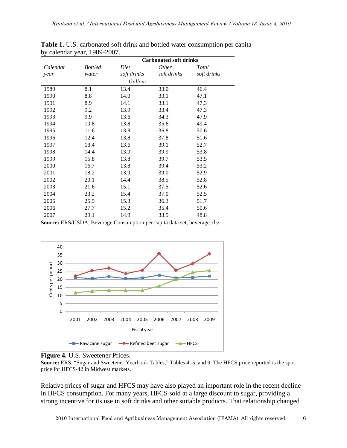|          | <b>Carbonated soft drinks</b> |             |              |             |  |  |  |  |  |  |
|----------|-------------------------------|-------------|--------------|-------------|--|--|--|--|--|--|
| Calendar | <b>Bottled</b>                | Diet        | <i>Other</i> | Total       |  |  |  |  |  |  |
| year     | water                         | soft drinks | soft drinks  | soft drinks |  |  |  |  |  |  |
|          | Gallons                       |             |              |             |  |  |  |  |  |  |
| 1989     | 8.1                           | 13.4        | 33.0         | 46.4        |  |  |  |  |  |  |
| 1990     | 8.8                           | 14.0        | 33.1         | 47.1        |  |  |  |  |  |  |
| 1991     | 8.9                           | 14.1        | 33.1         | 47.3        |  |  |  |  |  |  |
| 1992     | 9.2                           | 13.9        | 33.4         | 47.3        |  |  |  |  |  |  |
| 1993     | 9.9                           | 13.6        | 34.3         | 47.9        |  |  |  |  |  |  |
| 1994     | 10.8                          | 13.8        | 35.6         | 49.4        |  |  |  |  |  |  |
| 1995     | 11.6                          | 13.8        | 36.8         | 50.6        |  |  |  |  |  |  |
| 1996     | 12.4                          | 13.8        | 37.8         | 51.6        |  |  |  |  |  |  |
| 1997     | 13.4                          | 13.6        | 39.1         | 52.7        |  |  |  |  |  |  |
| 1998     | 14.4                          | 13.9        | 39.9         | 53.8        |  |  |  |  |  |  |
| 1999     | 15.8                          | 13.8        | 39.7         | 53.5        |  |  |  |  |  |  |
| 2000     | 16.7                          | 13.8        | 39.4         | 53.2        |  |  |  |  |  |  |
| 2001     | 18.2                          | 13.9        | 39.0         | 52.9        |  |  |  |  |  |  |
| 2002     | 20.1                          | 14.4        | 38.5         | 52.8        |  |  |  |  |  |  |
| 2003     | 21.6                          | 15.1        | 37.5         | 52.6        |  |  |  |  |  |  |
| 2004     | 23.2                          | 15.4        | 37.0         | 52.5        |  |  |  |  |  |  |
| 2005     | 25.5                          | 15.3        | 36.3         | 51.7        |  |  |  |  |  |  |
| 2006     | 27.7                          | 15.2        | 35.4         | 50.6        |  |  |  |  |  |  |
| 2007     | 29.1                          | 14.9        | 33.9         | 48.8        |  |  |  |  |  |  |

**Table 1.** U.S. carbonated soft drink and bottled water consumption per capita by calendar year, 1989-2007.

**Source:** ERS/USDA, Beverage Consumption per capita data set, beverage.xls/.





**Source:** ERS, "Sugar and Sweetener Yearbook Tables," Tables 4, 5, and 9. The HFCS price reported is the spot price for HFCS-42 in Midwest markets.

Relative prices of sugar and HFCS may have also played an important role in the recent decline in HFCS consumption. For many years, HFCS sold at a large discount to sugar, providing a strong incentive for its use in soft drinks and other suitable products. That relationship changed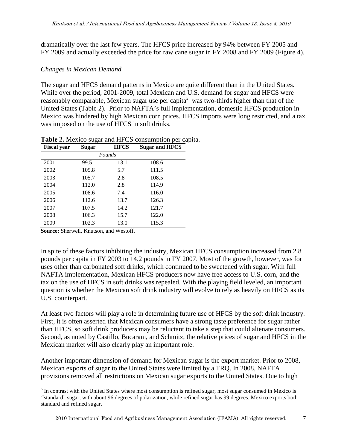dramatically over the last few years. The HFCS price increased by 94% between FY 2005 and FY 2009 and actually exceeded the price for raw cane sugar in FY 2008 and FY 2009 (Figure 4).

#### *Changes in Mexican Demand*

The sugar and HFCS demand patterns in Mexico are quite different than in the United States. While over the period, 2001-2009, total Mexican and U.S. demand for sugar and HFCS were reasonably comparable, Mexican sugar use per capita<sup>5</sup> was two-thirds higher than that of the United States (Table 2). Prior to NAFTA's full implementation, domestic HFCS production in Mexico was hindered by high Mexican corn prices. HFCS imports were long restricted, and a tax was imposed on the use of HFCS in soft drinks.

| <b>Fiscal year</b> | Sugar | <b>HFCS</b> | <b>Sugar and HFCS</b> |
|--------------------|-------|-------------|-----------------------|
|                    |       | Pounds      |                       |
| 2001               | 99.5  | 13.1        | 108.6                 |
| 2002               | 105.8 | 5.7         | 111.5                 |
| 2003               | 105.7 | 2.8         | 108.5                 |
| 2004               | 112.0 | 2.8         | 114.9                 |
| 2005               | 108.6 | 7.4         | 116.0                 |
| 2006               | 112.6 | 13.7        | 126.3                 |
| 2007               | 107.5 | 14.2        | 121.7                 |
| 2008               | 106.3 | 15.7        | 122.0                 |
| 2009               | 102.3 | 13.0        | 115.3                 |
|                    |       |             |                       |

**Table 2.** Mexico sugar and HFCS consumption per capita.

**Source:** Sherwell, Knutson, and Westoff.

-

In spite of these factors inhibiting the industry, Mexican HFCS consumption increased from 2.8 pounds per capita in FY 2003 to 14.2 pounds in FY 2007. Most of the growth, however, was for uses other than carbonated soft drinks, which continued to be sweetened with sugar. With full NAFTA implementation, Mexican HFCS producers now have free access to U.S. corn, and the tax on the use of HFCS in soft drinks was repealed. With the playing field leveled, an important question is whether the Mexican soft drink industry will evolve to rely as heavily on HFCS as its U.S. counterpart.

At least two factors will play a role in determining future use of HFCS by the soft drink industry. First, it is often asserted that Mexican consumers have a strong taste preference for sugar rather than HFCS, so soft drink producers may be reluctant to take a step that could alienate consumers. Second, as noted by Castillo, Bucaram, and Schmitz, the relative prices of sugar and HFCS in the Mexican market will also clearly play an important role.

Another important dimension of demand for Mexican sugar is the export market. Prior to 2008, Mexican exports of sugar to the United States were limited by a TRQ. In 2008, NAFTA provisions removed all restrictions on Mexican sugar exports to the United States. Due to high

<sup>&</sup>lt;sup>5</sup> In contrast with the United States where most consumption is refined sugar, most sugar consumed in Mexico is *"*standard" sugar, with about 96 degrees of polarization, while refined sugar has 99 degrees. Mexico exports both standard and refined sugar.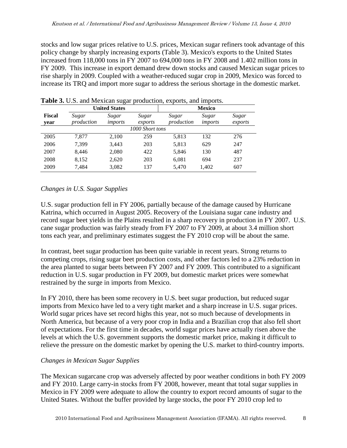stocks and low sugar prices relative to U.S. prices, Mexican sugar refiners took advantage of this policy change by sharply increasing exports (Table 3). Mexico's exports to the United States increased from 118,000 tons in FY 2007 to 694,000 tons in FY 2008 and 1.402 million tons in FY 2009. This increase in export demand drew down stocks and caused Mexican sugar prices to rise sharply in 2009. Coupled with a weather-reduced sugar crop in 2009, Mexico was forced to increase its TRQ and import more sugar to address the serious shortage in the domestic market.

|                |                     | <b>United States</b> |                  | <b>Mexico</b>       |                  |                  |
|----------------|---------------------|----------------------|------------------|---------------------|------------------|------------------|
| Fiscal<br>year | Sugar<br>production | Sugar<br>imports     | Sugar<br>exports | Sugar<br>production | Sugar<br>imports | Sugar<br>exports |
|                |                     |                      | 1000 Short tons  |                     |                  |                  |
| 2005           | 7.877               | 2,100                | 259              | 5,813               | 132              | 276              |
| 2006           | 7,399               | 3,443                | 203              | 5,813               | 629              | 247              |
| 2007           | 8,446               | 2,080                | 422              | 5,846               | 130              | 487              |
| 2008           | 8,152               | 2,620                | 203              | 6,081               | 694              | 237              |
| 2009           | 7,484               | 3,082                | 137              | 5,470               | 1,402            | 607              |

#### **Table 3.** U.S. and Mexican sugar production, exports, and imports.

### *Changes in U.S. Sugar Supplies*

U.S. sugar production fell in FY 2006, partially because of the damage caused by Hurricane Katrina, which occurred in August 2005. Recovery of the Louisiana sugar cane industry and record sugar beet yields in the Plains resulted in a sharp recovery in production in FY 2007. U.S. cane sugar production was fairly steady from FY 2007 to FY 2009, at about 3.4 million short tons each year, and preliminary estimates suggest the FY 2010 crop will be about the same.

In contrast, beet sugar production has been quite variable in recent years. Strong returns to competing crops, rising sugar beet production costs, and other factors led to a 23% reduction in the area planted to sugar beets between FY 2007 and FY 2009. This contributed to a significant reduction in U.S. sugar production in FY 2009, but domestic market prices were somewhat restrained by the surge in imports from Mexico.

In FY 2010, there has been some recovery in U.S. beet sugar production, but reduced sugar imports from Mexico have led to a very tight market and a sharp increase in U.S. sugar prices. World sugar prices have set record highs this year, not so much because of developments in North America, but because of a very poor crop in India and a Brazilian crop that also fell short of expectations. For the first time in decades, world sugar prices have actually risen above the levels at which the U.S. government supports the domestic market price, making it difficult to relieve the pressure on the domestic market by opening the U.S. market to third-country imports.

### *Changes in Mexican Sugar Supplies*

The Mexican sugarcane crop was adversely affected by poor weather conditions in both FY 2009 and FY 2010. Large carry-in stocks from FY 2008, however, meant that total sugar supplies in Mexico in FY 2009 were adequate to allow the country to export record amounts of sugar to the United States. Without the buffer provided by large stocks, the poor FY 2010 crop led to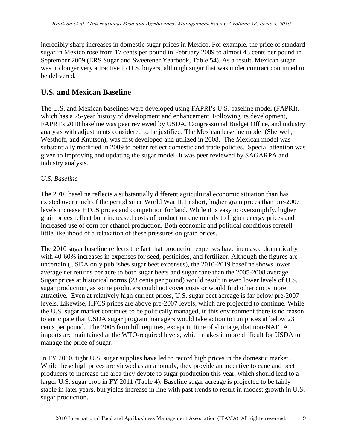incredibly sharp increases in domestic sugar prices in Mexico. For example, the price of standard sugar in Mexico rose from 17 cents per pound in February 2009 to almost 45 cents per pound in September 2009 (ERS Sugar and Sweetener Yearbook, Table 54). As a result, Mexican sugar was no longer very attractive to U.S. buyers, although sugar that was under contract continued to be delivered.

## **U.S. and Mexican Baseline**

The U.S. and Mexican baselines were developed using FAPRI's U.S. baseline model (FAPRI), which has a 25-year history of development and enhancement. Following its development, FAPRI's 2010 baseline was peer reviewed by USDA, Congressional Budget Office, and industry analysts with adjustments considered to be justified. The Mexican baseline model (Sherwell, Westhoff, and Knutson), was first developed and utilized in 2008. The Mexican model was substantially modified in 2009 to better reflect domestic and trade policies. Special attention was given to improving and updating the sugar model. It was peer reviewed by SAGARPA and industry analysts.

### *U.S. Baseline*

The 2010 baseline reflects a substantially different agricultural economic situation than has existed over much of the period since World War II. In short, higher grain prices than pre-2007 levels increase HFCS prices and competition for land. While it is easy to oversimplify, higher grain prices reflect both increased costs of production due mainly to higher energy prices and increased use of corn for ethanol production. Both economic and political conditions foretell little likelihood of a relaxation of these pressures on grain prices.

The 2010 sugar baseline reflects the fact that production expenses have increased dramatically with 40-60% increases in expenses for seed, pesticides, and fertilizer. Although the figures are uncertain (USDA only publishes sugar beet expenses), the 2010-2019 baseline shows lower average net returns per acre to both sugar beets and sugar cane than the 2005-2008 average. Sugar prices at historical norms (23 cents per pound) would result in even lower levels of U.S. sugar production, as some producers could not cover costs or would find other crops more attractive. Even at relatively high current prices, U.S. sugar beet acreage is far below pre-2007 levels. Likewise, HFCS prices are above pre-2007 levels, which are projected to continue. While the U.S. sugar market continues to be politically managed, in this environment there is no reason to anticipate that USDA sugar program managers would take action to run prices at below 23 cents per pound. The 2008 farm bill requires, except in time of shortage, that non-NAFTA imports are maintained at the WTO-required levels, which makes it more difficult for USDA to manage the price of sugar.

In FY 2010, tight U.S. sugar supplies have led to record high prices in the domestic market. While these high prices are viewed as an anomaly, they provide an incentive to cane and beet producers to increase the area they devote to sugar production this year, which should lead to a larger U.S. sugar crop in FY 2011 (Table 4). Baseline sugar acreage is projected to be fairly stable in later years, but yields increase in line with past trends to result in modest growth in U.S. sugar production.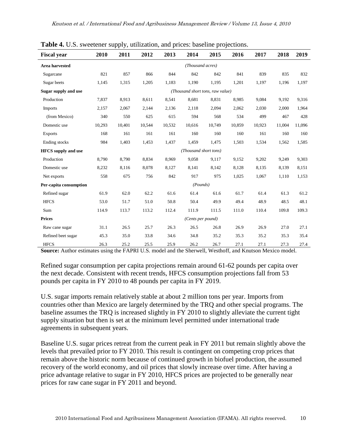| $\frac{1}{2}$ $\frac{1}{2}$ $\frac{1}{2}$ $\frac{1}{2}$ $\frac{1}{2}$ $\frac{1}{2}$ $\frac{1}{2}$ $\frac{1}{2}$ $\frac{1}{2}$ $\frac{1}{2}$ $\frac{1}{2}$ $\frac{1}{2}$ $\frac{1}{2}$ $\frac{1}{2}$ $\frac{1}{2}$ $\frac{1}{2}$ $\frac{1}{2}$ $\frac{1}{2}$ $\frac{1}{2}$ $\frac{1}{2}$ $\frac{1}{2}$ $\frac{1}{2}$ |        |        |        | attimention, and prices. Susefully |                                  |        |        |        |        |        |
|---------------------------------------------------------------------------------------------------------------------------------------------------------------------------------------------------------------------------------------------------------------------------------------------------------------------|--------|--------|--------|------------------------------------|----------------------------------|--------|--------|--------|--------|--------|
| <b>Fiscal year</b>                                                                                                                                                                                                                                                                                                  | 2010   | 2011   | 2012   | 2013                               | 2014                             | 2015   | 2016   | 2017   | 2018   | 2019   |
| <b>Area harvested</b>                                                                                                                                                                                                                                                                                               |        |        |        |                                    | (Thousand acres)                 |        |        |        |        |        |
| Sugarcane                                                                                                                                                                                                                                                                                                           | 821    | 857    | 866    | 844                                | 842                              | 842    | 841    | 839    | 835    | 832    |
| Sugar beets                                                                                                                                                                                                                                                                                                         | 1,145  | 1,315  | 1,205  | 1,183                              | 1.190                            | 1,195  | 1,201  | 1,197  | 1,196  | 1,197  |
| Sugar supply and use                                                                                                                                                                                                                                                                                                |        |        |        |                                    | (Thousand short tons, raw value) |        |        |        |        |        |
| Production                                                                                                                                                                                                                                                                                                          | 7,837  | 8,913  | 8,611  | 8,541                              | 8,681                            | 8,831  | 8,985  | 9,084  | 9,192  | 9,316  |
| Imports                                                                                                                                                                                                                                                                                                             | 2,157  | 2,067  | 2,144  | 2,136                              | 2,118                            | 2,094  | 2,062  | 2,030  | 2,000  | 1,964  |
| (from Mexico)                                                                                                                                                                                                                                                                                                       | 340    | 550    | 625    | 615                                | 594                              | 568    | 534    | 499    | 467    | 428    |
| Domestic use                                                                                                                                                                                                                                                                                                        | 10,293 | 10,401 | 10.544 | 10,532                             | 10,616                           | 10,749 | 10,859 | 10,923 | 11,004 | 11,096 |
| <b>Exports</b>                                                                                                                                                                                                                                                                                                      | 168    | 161    | 161    | 161                                | 160                              | 160    | 160    | 161    | 160    | 160    |
| Ending stocks                                                                                                                                                                                                                                                                                                       | 984    | 1,403  | 1,453  | 1,437                              | 1,459                            | 1,475  | 1,503  | 1,534  | 1,562  | 1,585  |
| <b>HFCS</b> supply and use                                                                                                                                                                                                                                                                                          |        |        |        |                                    | (Thousand short tons)            |        |        |        |        |        |
| Production                                                                                                                                                                                                                                                                                                          | 8,790  | 8,790  | 8,834  | 8,969                              | 9,058                            | 9,117  | 9,152  | 9,202  | 9,249  | 9,303  |
| Domestic use                                                                                                                                                                                                                                                                                                        | 8,232  | 8,116  | 8,078  | 8,127                              | 8,141                            | 8,142  | 8,128  | 8,135  | 8,139  | 8,151  |
| Net exports                                                                                                                                                                                                                                                                                                         | 558    | 675    | 756    | 842                                | 917                              | 975    | 1,025  | 1,067  | 1,110  | 1,153  |
| Per-capita consumption                                                                                                                                                                                                                                                                                              |        |        |        |                                    | (Pounds)                         |        |        |        |        |        |
| Refined sugar                                                                                                                                                                                                                                                                                                       | 61.9   | 62.0   | 62.2   | 61.6                               | 61.4                             | 61.6   | 61.7   | 61.4   | 61.3   | 61.2   |
| <b>HFCS</b>                                                                                                                                                                                                                                                                                                         | 53.0   | 51.7   | 51.0   | 50.8                               | 50.4                             | 49.9   | 49.4   | 48.9   | 48.5   | 48.1   |
| Sum                                                                                                                                                                                                                                                                                                                 | 114.9  | 113.7  | 113.2  | 112.4                              | 111.9                            | 111.5  | 111.0  | 110.4  | 109.8  | 109.3  |
| <b>Prices</b>                                                                                                                                                                                                                                                                                                       |        |        |        |                                    | (Cents per pound)                |        |        |        |        |        |
| Raw cane sugar                                                                                                                                                                                                                                                                                                      | 31.1   | 26.5   | 25.7   | 26.3                               | 26.5                             | 26.8   | 26.9   | 26.9   | 27.0   | 27.1   |
| Refined beet sugar                                                                                                                                                                                                                                                                                                  | 45.3   | 35.0   | 33.8   | 34.6                               | 34.8                             | 35.2   | 35.3   | 35.2   | 35.3   | 35.4   |
| <b>HFCS</b>                                                                                                                                                                                                                                                                                                         | 26.3   | 25.2   | 25.5   | 25.9                               | 26.2                             | 26.7   | 27.1   | 27.1   | 27.3   | 27.4   |

**Table 4.** U.S. sweetener supply, utilization, and prices: baseline projections.

**Source:** Author estimates using the FAPRI U.S. model and the Sherwell, Westhoff, and Knutson Mexico model.

Refined sugar consumption per capita projections remain around 61-62 pounds per capita over the next decade. Consistent with recent trends, HFCS consumption projections fall from 53 pounds per capita in FY 2010 to 48 pounds per capita in FY 2019.

U.S. sugar imports remain relatively stable at about 2 million tons per year. Imports from countries other than Mexico are largely determined by the TRQ and other special programs. The baseline assumes the TRQ is increased slightly in FY 2010 to slightly alleviate the current tight supply situation but then is set at the minimum level permitted under international trade agreements in subsequent years.

Baseline U.S. sugar prices retreat from the current peak in FY 2011 but remain slightly above the levels that prevailed prior to FY 2010. This result is contingent on competing crop prices that remain above the historic norm because of continued growth in biofuel production, the assumed recovery of the world economy, and oil prices that slowly increase over time. After having a price advantage relative to sugar in FY 2010, HFCS prices are projected to be generally near prices for raw cane sugar in FY 2011 and beyond.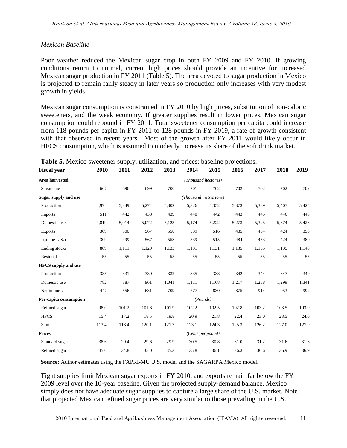### *Mexican Baseline*

Poor weather reduced the Mexican sugar crop in both FY 2009 and FY 2010. If growing conditions return to normal, current high prices should provide an incentive for increased Mexican sugar production in FY 2011 (Table 5). The area devoted to sugar production in Mexico is projected to remain fairly steady in later years so production only increases with very modest growth in yields.

Mexican sugar consumption is constrained in FY 2010 by high prices, substitution of non-caloric sweeteners, and the weak economy. If greater supplies result in lower prices, Mexican sugar consumption could rebound in FY 2011. Total sweetener consumption per capita could increase from 118 pounds per capita in FY 2011 to 128 pounds in FY 2019, a rate of growth consistent with that observed in recent years. Most of the growth after FY 2011 would likely occur in HFCS consumption, which is assumed to modestly increase its share of the soft drink market.

| <b>Fiscal year</b>         | 2010                   | 2011  | 2012  | 2013  | 2014     | 2015              | 2016  | 2017  | 2018  | 2019  |
|----------------------------|------------------------|-------|-------|-------|----------|-------------------|-------|-------|-------|-------|
| <b>Area harvested</b>      | (Thousand hectares)    |       |       |       |          |                   |       |       |       |       |
| Sugarcane                  | 667                    | 696   | 699   | 700   | 701      | 702               | 702   | 702   | 702   | 702   |
| Sugar supply and use       | (Thousand metric tons) |       |       |       |          |                   |       |       |       |       |
| Production                 | 4.974                  | 5,349 | 5,274 | 5,302 | 5,326    | 5,352             | 5,373 | 5,389 | 5,407 | 5,425 |
| Imports                    | 511                    | 442   | 438   | 439   | 440      | 442               | 443   | 445   | 446   | 448   |
| Domestic use               | 4,819                  | 5,014 | 5,072 | 5,123 | 5,174    | 5,222             | 5,273 | 5,325 | 5,374 | 5,423 |
| <b>Exports</b>             | 309                    | 500   | 567   | 558   | 539      | 516               | 485   | 454   | 424   | 390   |
| (to the U.S.)              | 309                    | 499   | 567   | 558   | 539      | 515               | 484   | 453   | 424   | 389   |
| Ending stocks              | 889                    | 1,111 | 1,129 | 1,133 | 1,131    | 1,131             | 1,135 | 1,135 | 1,135 | 1,140 |
| Residual                   | 55                     | 55    | 55    | 55    | 55       | 55                | 55    | 55    | 55    | 55    |
| <b>HFCS</b> supply and use |                        |       |       |       |          |                   |       |       |       |       |
| Production                 | 335                    | 331   | 330   | 332   | 335      | 338               | 342   | 344   | 347   | 349   |
| Domestic use               | 782                    | 887   | 961   | 1,041 | 1,111    | 1,168             | 1,217 | 1,258 | 1,299 | 1,341 |
| Net imports                | 447                    | 556   | 631   | 709   | 777      | 830               | 875   | 914   | 953   | 992   |
| Per-capita consumption     |                        |       |       |       | (Founds) |                   |       |       |       |       |
| Refined sugar              | 98.0                   | 101.2 | 101.6 | 101.9 | 102.2    | 102.5             | 102.8 | 103.2 | 103.5 | 103.9 |
| <b>HFCS</b>                | 15.4                   | 17.2  | 18.5  | 19.8  | 20.9     | 21.8              | 22.4  | 23.0  | 23.5  | 24.0  |
| Sum                        | 113.4                  | 118.4 | 120.1 | 121.7 | 123.1    | 124.3             | 125.3 | 126.2 | 127.0 | 127.9 |
| <b>Prices</b>              |                        |       |       |       |          | (Cents per pound) |       |       |       |       |
| Standard sugar             | 38.6                   | 29.4  | 29.6  | 29.9  | 30.5     | 30.8              | 31.0  | 31.2  | 31.6  | 31.6  |
| Refined sugar              | 45.0                   | 34.8  | 35.0  | 35.3  | 35.8     | 36.1              | 36.3  | 36.6  | 36.9  | 36.9  |

**Table 5.** Mexico sweetener supply, utilization, and prices: baseline projections.

**Source:** Author estimates using the FAPRI-MU U.S. model and the SAGARPA Mexico model.

Tight supplies limit Mexican sugar exports in FY 2010, and exports remain far below the FY 2009 level over the 10-year baseline. Given the projected supply-demand balance, Mexico simply does not have adequate sugar supplies to capture a large share of the U.S. market. Note that projected Mexican refined sugar prices are very similar to those prevailing in the U.S.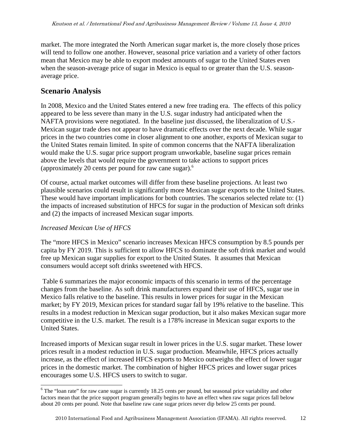market. The more integrated the North American sugar market is, the more closely those prices will tend to follow one another. However, seasonal price variation and a variety of other factors mean that Mexico may be able to export modest amounts of sugar to the United States even when the season-average price of sugar in Mexico is equal to or greater than the U.S. seasonaverage price.

### **Scenario Analysis**

In 2008, Mexico and the United States entered a new free trading era. The effects of this policy appeared to be less severe than many in the U.S. sugar industry had anticipated when the NAFTA provisions were negotiated. In the baseline just discussed, the liberalization of U.S.- Mexican sugar trade does not appear to have dramatic effects over the next decade. While sugar prices in the two countries come in closer alignment to one another, exports of Mexican sugar to the United States remain limited. In spite of common concerns that the NAFTA liberalization would make the U.S. sugar price support program unworkable, baseline sugar prices remain above the levels that would require the government to take actions to support prices (approximately 20 cents per pound for raw cane sugar).<sup>6</sup>

Of course, actual market outcomes will differ from these baseline projections. At least two plausible scenarios could result in significantly more Mexican sugar exports to the United States. These would have important implications for both countries. The scenarios selected relate to: (1) the impacts of increased substitution of HFCS for sugar in the production of Mexican soft drinks and (2) the impacts of increased Mexican sugar imports.

### *Increased Mexican Use of HFCS*

-

The "more HFCS in Mexico" scenario increases Mexican HFCS consumption by 8.5 pounds per capita by FY 2019. This is sufficient to allow HFCS to dominate the soft drink market and would free up Mexican sugar supplies for export to the United States. It assumes that Mexican consumers would accept soft drinks sweetened with HFCS.

 Table 6 summarizes the major economic impacts of this scenario in terms of the percentage changes from the baseline. As soft drink manufacturers expand their use of HFCS, sugar use in Mexico falls relative to the baseline. This results in lower prices for sugar in the Mexican market; by FY 2019, Mexican prices for standard sugar fall by 19% relative to the baseline. This results in a modest reduction in Mexican sugar production, but it also makes Mexican sugar more competitive in the U.S. market. The result is a 178% increase in Mexican sugar exports to the United States.

Increased imports of Mexican sugar result in lower prices in the U.S. sugar market. These lower prices result in a modest reduction in U.S. sugar production. Meanwhile, HFCS prices actually increase, as the effect of increased HFCS exports to Mexico outweighs the effect of lower sugar prices in the domestic market. The combination of higher HFCS prices and lower sugar prices encourages some U.S. HFCS users to switch to sugar.

<sup>&</sup>lt;sup>6</sup> The "loan rate" for raw cane sugar is currently 18.25 cents per pound, but seasonal price variability and other factors mean that the price support program generally begins to have an effect when raw sugar prices fall below about 20 cents per pound. Note that baseline raw cane sugar prices never dip below 25 cents per pound.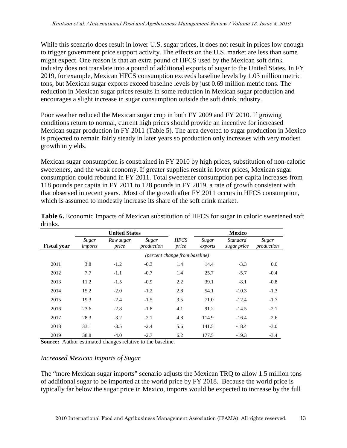While this scenario does result in lower U.S. sugar prices, it does not result in prices low enough to trigger government price support activity. The effects on the U.S. market are less than some might expect. One reason is that an extra pound of HFCS used by the Mexican soft drink industry does not translate into a pound of additional exports of sugar to the United States. In FY 2019, for example, Mexican HFCS consumption exceeds baseline levels by 1.03 million metric tons, but Mexican sugar exports exceed baseline levels by just 0.69 million metric tons. The reduction in Mexican sugar prices results in some reduction in Mexican sugar production and encourages a slight increase in sugar consumption outside the soft drink industry.

Poor weather reduced the Mexican sugar crop in both FY 2009 and FY 2010. If growing conditions return to normal, current high prices should provide an incentive for increased Mexican sugar production in FY 2011 (Table 5). The area devoted to sugar production in Mexico is projected to remain fairly steady in later years so production only increases with very modest growth in yields.

Mexican sugar consumption is constrained in FY 2010 by high prices, substitution of non-caloric sweeteners, and the weak economy. If greater supplies result in lower prices, Mexican sugar consumption could rebound in FY 2011. Total sweetener consumption per capita increases from 118 pounds per capita in FY 2011 to 128 pounds in FY 2019, a rate of growth consistent with that observed in recent years. Most of the growth after FY 2011 occurs in HFCS consumption, which is assumed to modestly increase its share of the soft drink market.

|                    |                  | <b>United States</b>           |                     |                      |                  | <b>Mexico</b>                  |                     |  |
|--------------------|------------------|--------------------------------|---------------------|----------------------|------------------|--------------------------------|---------------------|--|
| <b>Fiscal year</b> | Sugar<br>imports | Raw sugar<br>price             | Sugar<br>production | <b>HFCS</b><br>price | Sugar<br>exports | <b>Standard</b><br>sugar price | Sugar<br>production |  |
|                    |                  | (percent change from baseline) |                     |                      |                  |                                |                     |  |
| 2011               | 3.8              | $-1.2$                         | $-0.3$              | 1.4                  | 14.4             | $-3.3$                         | 0.0                 |  |
| 2012               | 7.7              | $-1.1$                         | $-0.7$              | 1.4                  | 25.7             | $-5.7$                         | $-0.4$              |  |
| 2013               | 11.2             | $-1.5$                         | $-0.9$              | 2.2                  | 39.1             | $-8.1$                         | $-0.8$              |  |
| 2014               | 15.2             | $-2.0$                         | $-1.2$              | 2.8                  | 54.1             | $-10.3$                        | $-1.3$              |  |
| 2015               | 19.3             | $-2.4$                         | $-1.5$              | 3.5                  | 71.0             | $-12.4$                        | $-1.7$              |  |
| 2016               | 23.6             | $-2.8$                         | $-1.8$              | 4.1                  | 91.2             | $-14.5$                        | $-2.1$              |  |
| 2017               | 28.3             | $-3.2$                         | $-2.1$              | 4.8                  | 114.9            | $-16.4$                        | $-2.6$              |  |
| 2018               | 33.1             | $-3.5$                         | $-2.4$              | 5.6                  | 141.5            | $-18.4$                        | $-3.0$              |  |
| 2019               | 38.8             | $-4.0$                         | $-2.7$              | 6.2                  | 177.5            | $-19.3$                        | $-3.4$              |  |

**Table 6.** Economic Impacts of Mexican substitution of HFCS for sugar in caloric sweetened soft drinks.

**Source:** Author estimated changes relative to the baseline.

#### *Increased Mexican Imports of Sugar*

The "more Mexican sugar imports" scenario adjusts the Mexican TRQ to allow 1.5 million tons of additional sugar to be imported at the world price by FY 2018. Because the world price is typically far below the sugar price in Mexico, imports would be expected to increase by the full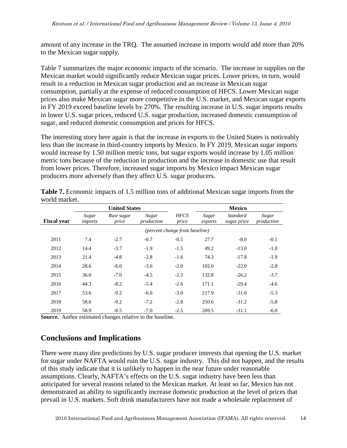amount of any increase in the TRQ. The assumed increase in imports would add more than 20% to the Mexican sugar supply.

Table 7 summarizes the major economic impacts of the scenario. The increase in supplies on the Mexican market would significantly reduce Mexican sugar prices. Lower prices, in turn, would result in a reduction in Mexican sugar production and an increase in Mexican sugar consumption, partially at the expense of reduced consumption of HFCS. Lower Mexican sugar prices also make Mexican sugar more competitive in the U.S. market, and Mexican sugar exports in FY 2019 exceed baseline levels by 270%. The resulting increase in U.S. sugar imports results in lower U.S. sugar prices, reduced U.S. sugar production, increased domestic consumption of sugar, and reduced domestic consumption and prices for HFCS.

The interesting story here again is that the increase in exports to the United States is noticeably less than the increase in third-country imports by Mexico. In FY 2019, Mexican sugar imports would increase by 1.50 million metric tons, but sugar exports would increase by 1.05 million metric tons because of the reduction in production and the increase in domestic use that result from lower prices. Therefore, increased sugar imports by Mexico impact Mexican sugar producers more adversely than they affect U.S. sugar producers.

|                    |                                | <b>United States</b> |                     |                      |                  | <b>Mexico</b>                  |                     |  |
|--------------------|--------------------------------|----------------------|---------------------|----------------------|------------------|--------------------------------|---------------------|--|
| <b>Fiscal year</b> | Sugar<br>imports               | Raw sugar<br>price   | Sugar<br>production | <b>HFCS</b><br>price | Sugar<br>exports | <b>Standard</b><br>sugar price | Sugar<br>production |  |
|                    | (percent change from baseline) |                      |                     |                      |                  |                                |                     |  |
| 2011               | 7.4                            | $-2.7$               | $-0.7$              | $-0.5$               | 27.7             | $-8.0$                         | $-0.1$              |  |
| 2012               | 14.4                           | $-3.7$               | $-1.9$              | $-1.5$               | 49.2             | $-13.0$                        | $-1.0$              |  |
| 2013               | 21.4                           | $-4.8$               | $-2.8$              | $-1.6$               | 74.3             | $-17.8$                        | $-1.9$              |  |
| 2014               | 28.6                           | $-6.0$               | $-3.6$              | $-2.0$               | 102.0            | $-22.0$                        | $-2.8$              |  |
| 2015               | 36.0                           | $-7.0$               | $-4.5$              | $-2.3$               | 132.8            | $-26.2$                        | $-3.7$              |  |
| 2016               | 44.3                           | $-8.2$               | $-5.4$              | $-2.6$               | 171.1            | $-29.4$                        | $-4.6$              |  |
| 2017               | 53.6                           | $-9.2$               | $-6.6$              | $-3.0$               | 217.9            | $-31.0$                        | $-5.3$              |  |
| 2018               | 58.6                           | $-9.2$               | $-7.2$              | $-2.8$               | 250.6            | $-31.2$                        | $-5.8$              |  |
| 2019               | 58.9                           | $-8.5$               | $-7.0$              | $-2.5$               | 269.5            | $-31.1$                        | $-6.0$              |  |

**Table 7.** Economic impacts of 1.5 million tons of additional Mexican sugar imports from the world market.

**Source.** Author estimated changes relative to the baseline.

### **Conclusions and Implications**

There were many dire predictions by U.S. sugar producer interests that opening the U.S. market for sugar under NAFTA would ruin the U.S. sugar industry. This did not happen, and the results of this study indicate that it is unlikely to happen in the near future under reasonable assumptions. Clearly, NAFTA's effects on the U.S. sugar industry have been less than anticipated for several reasons related to the Mexican market. At least so far, Mexico has not demonstrated an ability to significantly increase domestic production at the level of prices that prevail in U.S. markets. Soft drink manufacturers have not made a wholesale replacement of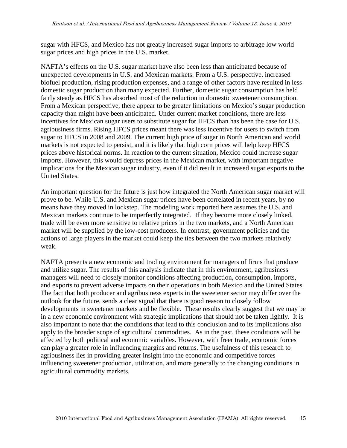sugar with HFCS, and Mexico has not greatly increased sugar imports to arbitrage low world sugar prices and high prices in the U.S. market.

NAFTA's effects on the U.S. sugar market have also been less than anticipated because of unexpected developments in U.S. and Mexican markets. From a U.S. perspective, increased biofuel production, rising production expenses, and a range of other factors have resulted in less domestic sugar production than many expected. Further, domestic sugar consumption has held fairly steady as HFCS has absorbed most of the reduction in domestic sweetener consumption. From a Mexican perspective, there appear to be greater limitations on Mexico's sugar production capacity than might have been anticipated. Under current market conditions, there are less incentives for Mexican sugar users to substitute sugar for HFCS than has been the case for U.S. agribusiness firms. Rising HFCS prices meant there was less incentive for users to switch from sugar to HFCS in 2008 and 2009. The current high price of sugar in North American and world markets is not expected to persist, and it is likely that high corn prices will help keep HFCS prices above historical norms. In reaction to the current situation, Mexico could increase sugar imports. However, this would depress prices in the Mexican market, with important negative implications for the Mexican sugar industry, even if it did result in increased sugar exports to the United States.

An important question for the future is just how integrated the North American sugar market will prove to be. While U.S. and Mexican sugar prices have been correlated in recent years, by no means have they moved in lockstep. The modeling work reported here assumes the U.S. and Mexican markets continue to be imperfectly integrated. If they become more closely linked, trade will be even more sensitive to relative prices in the two markets, and a North American market will be supplied by the low-cost producers. In contrast, government policies and the actions of large players in the market could keep the ties between the two markets relatively weak.

NAFTA presents a new economic and trading environment for managers of firms that produce and utilize sugar. The results of this analysis indicate that in this environment, agribusiness managers will need to closely monitor conditions affecting production, consumption, imports, and exports to prevent adverse impacts on their operations in both Mexico and the United States. The fact that both producer and agribusiness experts in the sweetener sector may differ over the outlook for the future, sends a clear signal that there is good reason to closely follow developments in sweetener markets and be flexible. These results clearly suggest that we may be in a new economic environment with strategic implications that should not be taken lightly. It is also important to note that the conditions that lead to this conclusion and to its implications also apply to the broader scope of agricultural commodities. As in the past, these conditions will be affected by both political and economic variables. However, with freer trade, economic forces can play a greater role in influencing margins and returns. The usefulness of this research to agribusiness lies in providing greater insight into the economic and competitive forces influencing sweetener production, utilization, and more generally to the changing conditions in agricultural commodity markets.